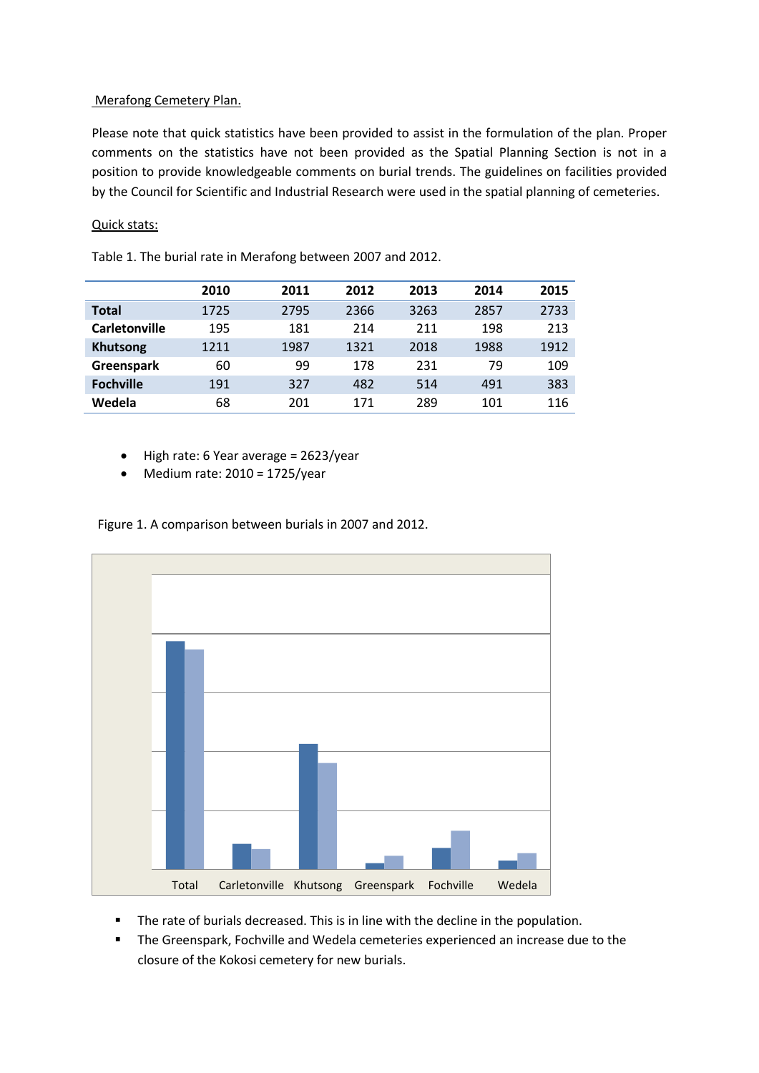## Merafong Cemetery Plan.

Please note that quick statistics have been provided to assist in the formulation of the plan. Proper comments on the statistics have not been provided as the Spatial Planning Section is not in a position to provide knowledgeable comments on burial trends. The guidelines on facilities provided by the Council for Scientific and Industrial Research were used in the spatial planning of cemeteries.

## Quick stats:

|                      | 2010 | 2011 | 2012 | 2013 | 2014 | 2015 |
|----------------------|------|------|------|------|------|------|
| <b>Total</b>         | 1725 | 2795 | 2366 | 3263 | 2857 | 2733 |
| <b>Carletonville</b> | 195  | 181  | 214  | 211  | 198  | 213  |
| <b>Khutsong</b>      | 1211 | 1987 | 1321 | 2018 | 1988 | 1912 |
| <b>Greenspark</b>    | 60   | 99   | 178  | 231  | 79   | 109  |
| <b>Fochville</b>     | 191  | 327  | 482  | 514  | 491  | 383  |
| Wedela               | 68   | 201  | 171  | 289  | 101  | 116  |

Table 1. The burial rate in Merafong between 2007 and 2012.

- High rate: 6 Year average = 2623/year
- $\bullet$  Medium rate: 2010 = 1725/year

Figure 1. A comparison between burials in 2007 and 2012.



- The rate of burials decreased. This is in line with the decline in the population.
- **The Greenspark, Fochville and Wedela cemeteries experienced an increase due to the** closure of the Kokosi cemetery for new burials.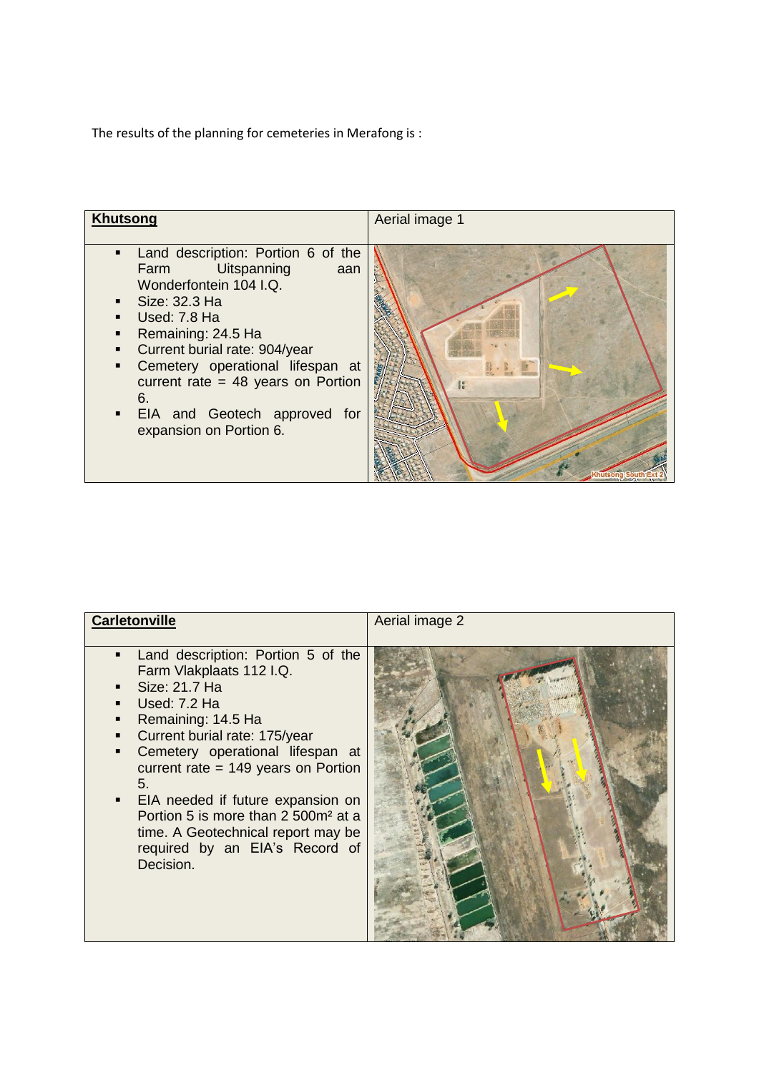The results of the planning for cemeteries in Merafong is :



| <b>Carletonville</b>                                                                                                                                                                                                                                                                                                                                                                                                                                      | Aerial image 2 |
|-----------------------------------------------------------------------------------------------------------------------------------------------------------------------------------------------------------------------------------------------------------------------------------------------------------------------------------------------------------------------------------------------------------------------------------------------------------|----------------|
| Land description: Portion 5 of the<br>٠<br>Farm Vlakplaats 112 I.Q.<br>Size: 21.7 Ha<br>п<br>Used: 7.2 Ha<br>п<br>Remaining: 14.5 Ha<br>٠<br>Current burial rate: 175/year<br>٠<br>Cemetery operational lifespan at<br>٠<br>current rate $= 149$ years on Portion<br>5.<br>EIA needed if future expansion on<br>٠<br>Portion 5 is more than 2 500m <sup>2</sup> at a<br>time. A Geotechnical report may be<br>required by an EIA's Record of<br>Decision. |                |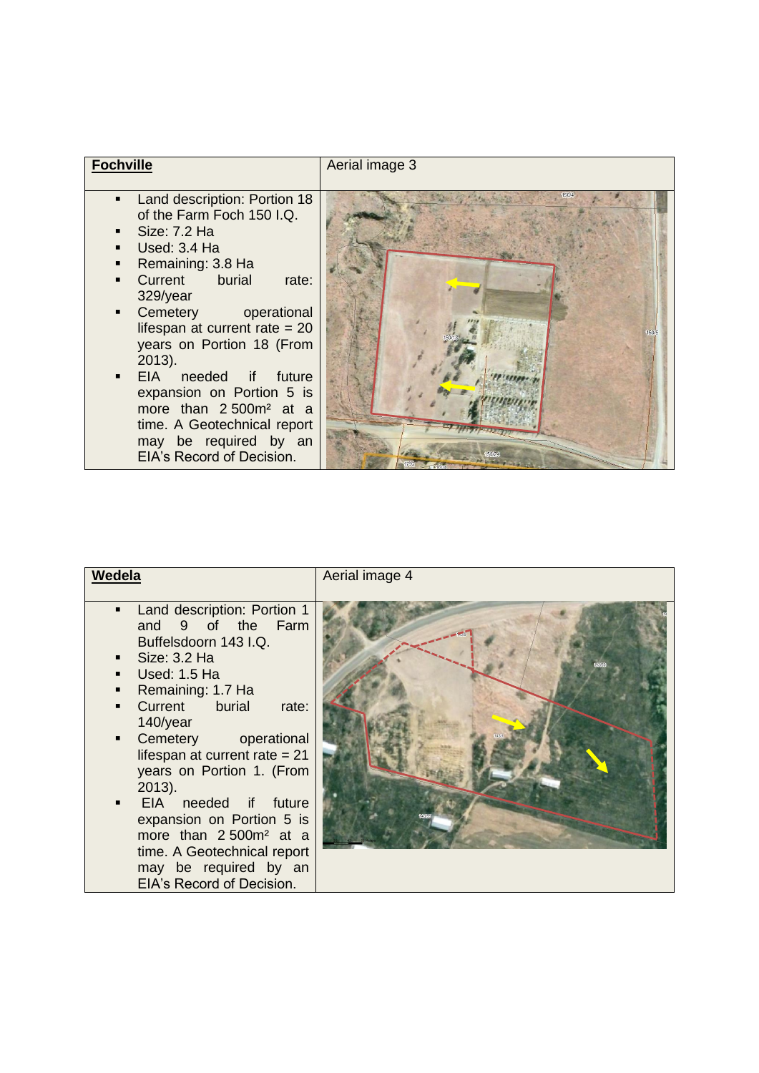| <b>Fochville</b>                                                                                                                                                                                                                                                                                                                                                                                                                                            | Aerial image 3 |
|-------------------------------------------------------------------------------------------------------------------------------------------------------------------------------------------------------------------------------------------------------------------------------------------------------------------------------------------------------------------------------------------------------------------------------------------------------------|----------------|
| Land description: Portion 18<br>of the Farm Foch 150 I.Q.<br>Size: 7.2 Ha<br>Used: 3.4 Ha<br>Remaining: 3.8 Ha<br>Current burial<br>rate:<br>329/year<br>Cemetery operational<br>lifespan at current rate $= 20$<br>years on Portion 18 (From<br>$2013$ ).<br>EIA needed if future<br>$\blacksquare$<br>expansion on Portion 5 is<br>more than 2500m <sup>2</sup> at a<br>time. A Geotechnical report<br>may be required by an<br>EIA's Record of Decision. | 150/4          |

| Wedela                                                                                                                                                                                                                                                                                                                                                                                                                                                                                                                 | Aerial image 4 |
|------------------------------------------------------------------------------------------------------------------------------------------------------------------------------------------------------------------------------------------------------------------------------------------------------------------------------------------------------------------------------------------------------------------------------------------------------------------------------------------------------------------------|----------------|
| Land description: Portion 1<br>٠<br>and 9 of the Farm<br>Buffelsdoorn 143 I.Q.<br>$\blacksquare$ Size: 3.2 Ha<br>Used: 1.5 Ha<br>٠<br>Remaining: 1.7 Ha<br>٠<br>Current burial<br>rate:<br>$\blacksquare$<br>140/year<br>Cemetery<br>operational<br>٠<br>lifespan at current rate $= 21$<br>years on Portion 1. (From<br>$2013$ ).<br>EIA needed if future<br>٠<br>expansion on Portion 5 is<br>more than 2500m <sup>2</sup> at a<br>time. A Geotechnical report<br>may be required by an<br>EIA's Record of Decision. |                |